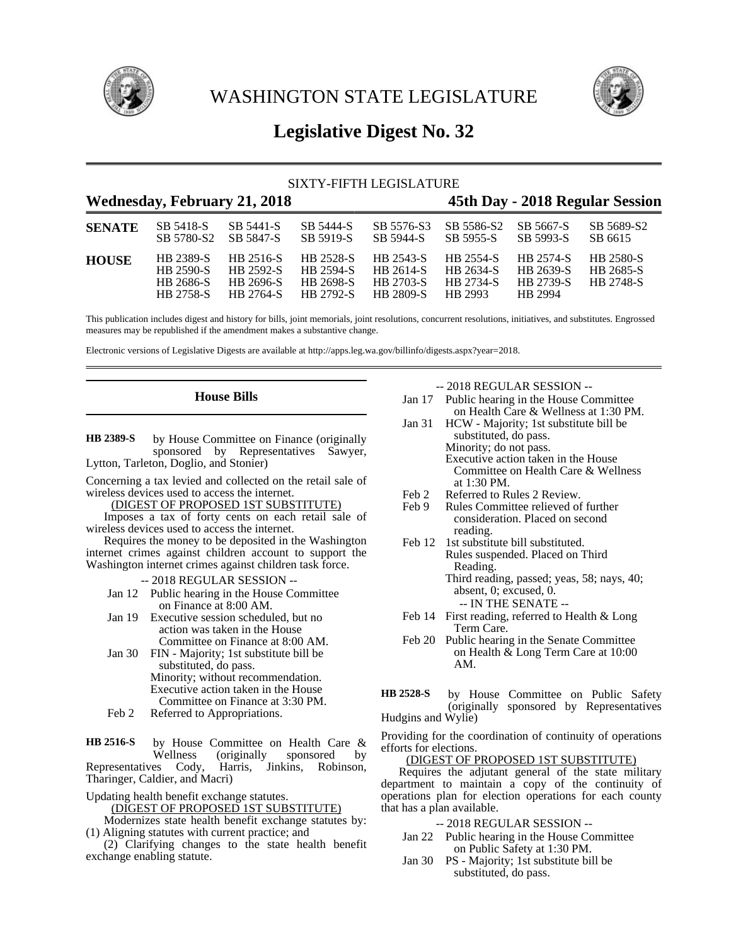



# **Legislative Digest No. 32**

| SIXTY-FIFTH LEGISLATURE             |                                                  |                                                  |                                                         |                                                  |                                                       |                                                |                                            |
|-------------------------------------|--------------------------------------------------|--------------------------------------------------|---------------------------------------------------------|--------------------------------------------------|-------------------------------------------------------|------------------------------------------------|--------------------------------------------|
| <b>Wednesday, February 21, 2018</b> |                                                  |                                                  |                                                         |                                                  | 45th Day - 2018 Regular Session                       |                                                |                                            |
| <b>SENATE</b>                       | SB 5418-S<br>SB 5780-S2                          | SB 5441-S<br>SB 5847-S                           | SB 5444-S<br>SB 5919-S                                  | SB 5576-S3<br>SB 5944-S                          | SB 5586-S2<br>SB 5955-S                               | SB 5667-S<br>SB 5993-S                         | SB 5689-S2<br>SB 6615                      |
| <b>HOUSE</b>                        | HB 2389-S<br>HB 2590-S<br>HB 2686-S<br>HB 2758-S | HB 2516-S<br>HB 2592-S<br>HB 2696-S<br>HB 2764-S | HB 2528-S<br>HB 2594-S<br><b>HB 2698-S</b><br>HB 2792-S | HB 2543-S<br>HB 2614-S<br>HB 2703-S<br>HB 2809-S | HB 2554-S<br>HB 2634-S<br><b>HB 2734-S</b><br>HB 2993 | HB 2574-S<br>HB 2639-S<br>HB 2739-S<br>HB 2994 | HB 2580-S<br>HB 2685-S<br><b>HB 2748-S</b> |

This publication includes digest and history for bills, joint memorials, joint resolutions, concurrent resolutions, initiatives, and substitutes. Engrossed measures may be republished if the amendment makes a substantive change.

Electronic versions of Legislative Digests are available at http://apps.leg.wa.gov/billinfo/digests.aspx?year=2018.

### **House Bills**

by House Committee on Finance (originally sponsored by Representatives Sawyer, Lytton, Tarleton, Doglio, and Stonier) **HB 2389-S**

Concerning a tax levied and collected on the retail sale of wireless devices used to access the internet.

(DIGEST OF PROPOSED 1ST SUBSTITUTE)

Imposes a tax of forty cents on each retail sale of wireless devices used to access the internet.

Requires the money to be deposited in the Washington internet crimes against children account to support the Washington internet crimes against children task force.

- -- 2018 REGULAR SESSION --
- Jan 12 Public hearing in the House Committee on Finance at 8:00 AM.
- Jan 19 Executive session scheduled, but no action was taken in the House Committee on Finance at 8:00 AM.
- Jan 30 FIN Majority; 1st substitute bill be substituted, do pass. Minority; without recommendation. Executive action taken in the House Committee on Finance at 3:30 PM.
- Feb 2 Referred to Appropriations.

by House Committee on Health Care & Wellness (originally sponsored by Representatives Cody, Harris, Jinkins, Robinson, Tharinger, Caldier, and Macri) **HB 2516-S**

Updating health benefit exchange statutes. (DIGEST OF PROPOSED 1ST SUBSTITUTE)

Modernizes state health benefit exchange statutes by: (1) Aligning statutes with current practice; and

(2) Clarifying changes to the state health benefit exchange enabling statute.

-- 2018 REGULAR SESSION --

- Jan 17 Public hearing in the House Committee on Health Care & Wellness at 1:30 PM.
- Jan 31 HCW Majority; 1st substitute bill be substituted, do pass. Minority; do not pass. Executive action taken in the House
	- Committee on Health Care & Wellness at 1:30 PM.
- Feb 2 Referred to Rules 2 Review.<br>Feb 9 Rules Committee relieved of
- Rules Committee relieved of further consideration. Placed on second reading.
- Feb 12 1st substitute bill substituted. Rules suspended. Placed on Third Reading.
	- Third reading, passed; yeas, 58; nays, 40; absent, 0; excused, 0. -- IN THE SENATE --
- Feb 14 First reading, referred to Health & Long Term Care.
- Feb 20 Public hearing in the Senate Committee on Health & Long Term Care at 10:00 AM.

by House Committee on Public Safety (originally sponsored by Representatives Hudgins and Wylie) **HB 2528-S**

Providing for the coordination of continuity of operations efforts for elections.

#### (DIGEST OF PROPOSED 1ST SUBSTITUTE)

Requires the adjutant general of the state military department to maintain a copy of the continuity of operations plan for election operations for each county that has a plan available.

- -- 2018 REGULAR SESSION --
- Jan 22 Public hearing in the House Committee on Public Safety at 1:30 PM.
- Jan 30 PS Majority; 1st substitute bill be substituted, do pass.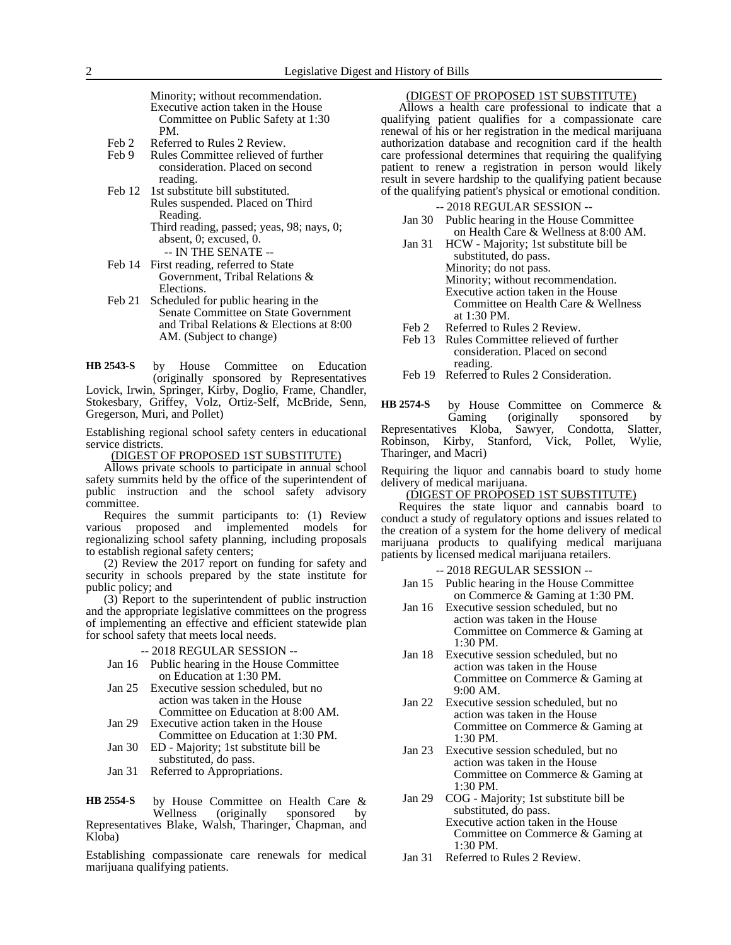Minority; without recommendation. Executive action taken in the House Committee on Public Safety at 1:30 PM.

- Feb 2 Referred to Rules 2 Review.<br>Feb 9 Rules Committee relieved of
- Rules Committee relieved of further consideration. Placed on second reading.
- Feb 12 1st substitute bill substituted. Rules suspended. Placed on Third Reading. Third reading, passed; yeas, 98; nays, 0;
	- absent, 0; excused, 0.
	- -- IN THE SENATE --
- Feb 14 First reading, referred to State Government, Tribal Relations & Elections.
- Feb 21 Scheduled for public hearing in the Senate Committee on State Government and Tribal Relations & Elections at 8:00 AM. (Subject to change)

by House Committee on Education (originally sponsored by Representatives **HB 2543-S**

Lovick, Irwin, Springer, Kirby, Doglio, Frame, Chandler, Stokesbary, Griffey, Volz, Ortiz-Self, McBride, Senn, Gregerson, Muri, and Pollet)

Establishing regional school safety centers in educational service districts.

(DIGEST OF PROPOSED 1ST SUBSTITUTE)

Allows private schools to participate in annual school safety summits held by the office of the superintendent of public instruction and the school safety advisory committee.

Requires the summit participants to: (1) Review various proposed and implemented models for regionalizing school safety planning, including proposals to establish regional safety centers;

(2) Review the 2017 report on funding for safety and security in schools prepared by the state institute for public policy; and

(3) Report to the superintendent of public instruction and the appropriate legislative committees on the progress of implementing an effective and efficient statewide plan for school safety that meets local needs.

#### -- 2018 REGULAR SESSION --

- Jan 16 Public hearing in the House Committee on Education at 1:30 PM.
- Jan 25 Executive session scheduled, but no action was taken in the House Committee on Education at 8:00 AM.

Jan 29 Executive action taken in the House

- Committee on Education at 1:30 PM. Jan 30 ED - Majority; 1st substitute bill be
- substituted, do pass.
- Jan 31 Referred to Appropriations.

by House Committee on Health Care &<br>Wellness (originally sponsored by sponsored Representatives Blake, Walsh, Tharinger, Chapman, and Kloba) **HB 2554-S**

Establishing compassionate care renewals for medical marijuana qualifying patients.

### (DIGEST OF PROPOSED 1ST SUBSTITUTE)

Allows a health care professional to indicate that a qualifying patient qualifies for a compassionate care renewal of his or her registration in the medical marijuana authorization database and recognition card if the health care professional determines that requiring the qualifying patient to renew a registration in person would likely result in severe hardship to the qualifying patient because of the qualifying patient's physical or emotional condition.

-- 2018 REGULAR SESSION --

- Jan 30 Public hearing in the House Committee on Health Care & Wellness at 8:00 AM.
- Jan 31 HCW Majority; 1st substitute bill be substituted, do pass. Minority; do not pass. Minority; without recommendation. Executive action taken in the House Committee on Health Care & Wellness at 1:30 PM.
- Feb 2 Referred to Rules 2 Review.<br>Feb 13 Rules Committee relieved of
- Rules Committee relieved of further consideration. Placed on second reading.
- Feb 19 Referred to Rules 2 Consideration.

by House Committee on Commerce &<br>Gaming (originally sponsored by (originally sponsored by Representatives Kloba, Sawyer, Condotta, Slatter, Robinson, Kirby, Stanford, Vick, Pollet, Wylie, Tharinger, and Macri) **HB 2574-S**

Requiring the liquor and cannabis board to study home delivery of medical marijuana.

(DIGEST OF PROPOSED 1ST SUBSTITUTE)

Requires the state liquor and cannabis board to conduct a study of regulatory options and issues related to the creation of a system for the home delivery of medical marijuana products to qualifying medical marijuana patients by licensed medical marijuana retailers.

- -- 2018 REGULAR SESSION -- Jan 15 Public hearing in the House Committee on Commerce & Gaming at 1:30 PM.
- Jan 16 Executive session scheduled, but no action was taken in the House Committee on Commerce & Gaming at 1:30 PM.
- Jan 18 Executive session scheduled, but no action was taken in the House Committee on Commerce & Gaming at 9:00 AM.
- Jan 22 Executive session scheduled, but no action was taken in the House Committee on Commerce & Gaming at 1:30 PM.
- Jan 23 Executive session scheduled, but no action was taken in the House Committee on Commerce & Gaming at 1:30 PM.
- Jan 29 COG Majority; 1st substitute bill be substituted, do pass. Executive action taken in the House Committee on Commerce & Gaming at 1:30 PM.
- Jan 31 Referred to Rules 2 Review.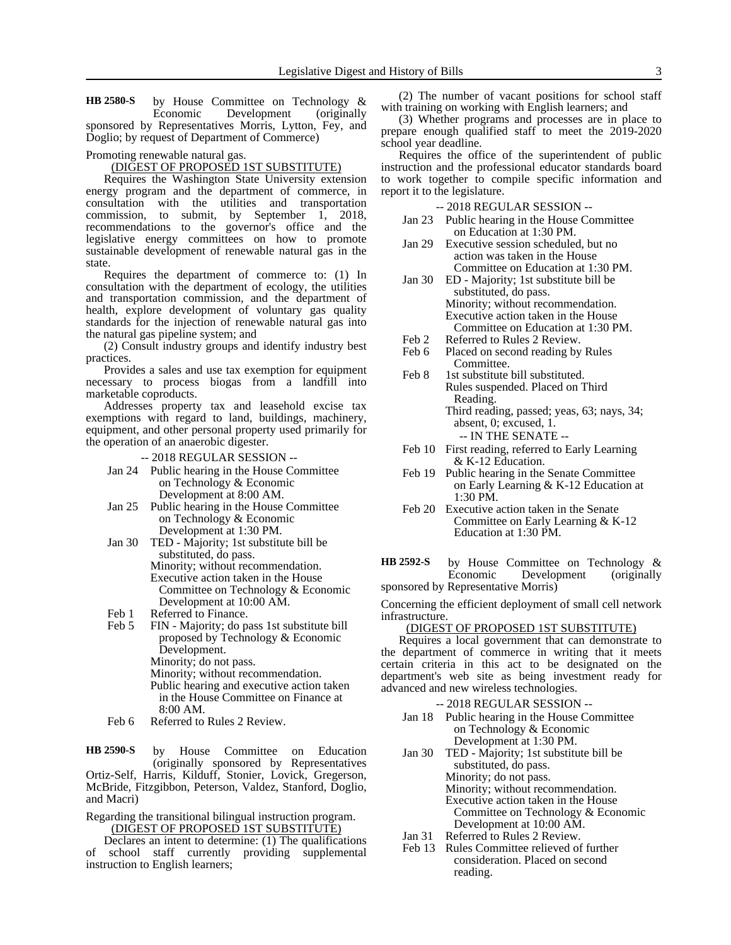by House Committee on Technology & Economic Development (originally sponsored by Representatives Morris, Lytton, Fey, and Doglio; by request of Department of Commerce) **HB 2580-S**

### Promoting renewable natural gas.

#### (DIGEST OF PROPOSED 1ST SUBSTITUTE)

Requires the Washington State University extension energy program and the department of commerce, in consultation with the utilities and transportation commission, to submit, by September 1, 2018, recommendations to the governor's office and the legislative energy committees on how to promote sustainable development of renewable natural gas in the state.

Requires the department of commerce to: (1) In consultation with the department of ecology, the utilities and transportation commission, and the department of health, explore development of voluntary gas quality standards for the injection of renewable natural gas into the natural gas pipeline system; and

(2) Consult industry groups and identify industry best practices.

Provides a sales and use tax exemption for equipment necessary to process biogas from a landfill into marketable coproducts.

Addresses property tax and leasehold excise tax exemptions with regard to land, buildings, machinery, equipment, and other personal property used primarily for the operation of an anaerobic digester.

-- 2018 REGULAR SESSION --

- Jan 24 Public hearing in the House Committee on Technology & Economic Development at 8:00 AM.
- Jan 25 Public hearing in the House Committee on Technology & Economic Development at 1:30 PM.
- Jan 30 TED Majority; 1st substitute bill be substituted, do pass. Minority; without recommendation. Executive action taken in the House Committee on Technology & Economic Development at 10:00 AM.
- Feb 1 Referred to Finance.
- Feb 5 FIN Majority; do pass 1st substitute bill proposed by Technology & Economic Development. Minority; do not pass. Minority; without recommendation. Public hearing and executive action taken

in the House Committee on Finance at 8:00 AM.

Feb 6 Referred to Rules 2 Review.

by House Committee on Education (originally sponsored by Representatives Ortiz-Self, Harris, Kilduff, Stonier, Lovick, Gregerson, McBride, Fitzgibbon, Peterson, Valdez, Stanford, Doglio, and Macri) **HB 2590-S**

Regarding the transitional bilingual instruction program. (DIGEST OF PROPOSED 1ST SUBSTITUTE)

Declares an intent to determine: (1) The qualifications of school staff currently providing supplemental instruction to English learners;

(2) The number of vacant positions for school staff with training on working with English learners; and

(3) Whether programs and processes are in place to prepare enough qualified staff to meet the 2019-2020 school year deadline.

Requires the office of the superintendent of public instruction and the professional educator standards board to work together to compile specific information and report it to the legislature.

-- 2018 REGULAR SESSION --

- Jan 23 Public hearing in the House Committee on Education at 1:30 PM.
- Jan 29 Executive session scheduled, but no action was taken in the House Committee on Education at 1:30 PM.
- Jan 30 ED Majority; 1st substitute bill be substituted, do pass. Minority; without recommendation. Executive action taken in the House Committee on Education at 1:30 PM.
- Feb 2 Referred to Rules 2 Review.
- Feb 6 Placed on second reading by Rules Committee.
- Feb 8 1st substitute bill substituted. Rules suspended. Placed on Third Reading. Third reading, passed; yeas, 63; nays, 34;

absent, 0; excused, 1. -- IN THE SENATE --

- Feb 10 First reading, referred to Early Learning & K-12 Education.
- Feb 19 Public hearing in the Senate Committee on Early Learning & K-12 Education at 1:30 PM.
- Feb 20 Executive action taken in the Senate Committee on Early Learning & K-12 Education at 1:30 PM.

by House Committee on Technology & Economic Development (originally sponsored by Representative Morris) **HB 2592-S**

Concerning the efficient deployment of small cell network infrastructure.

#### (DIGEST OF PROPOSED 1ST SUBSTITUTE)

Requires a local government that can demonstrate to the department of commerce in writing that it meets certain criteria in this act to be designated on the department's web site as being investment ready for advanced and new wireless technologies.

- -- 2018 REGULAR SESSION --
- Jan 18 Public hearing in the House Committee on Technology & Economic Development at 1:30 PM.
- Jan 30 TED Majority; 1st substitute bill be substituted, do pass. Minority; do not pass. Minority; without recommendation. Executive action taken in the House Committee on Technology & Economic Development at 10:00 AM.
- Jan 31 Referred to Rules 2 Review.
- Feb 13 Rules Committee relieved of further consideration. Placed on second reading.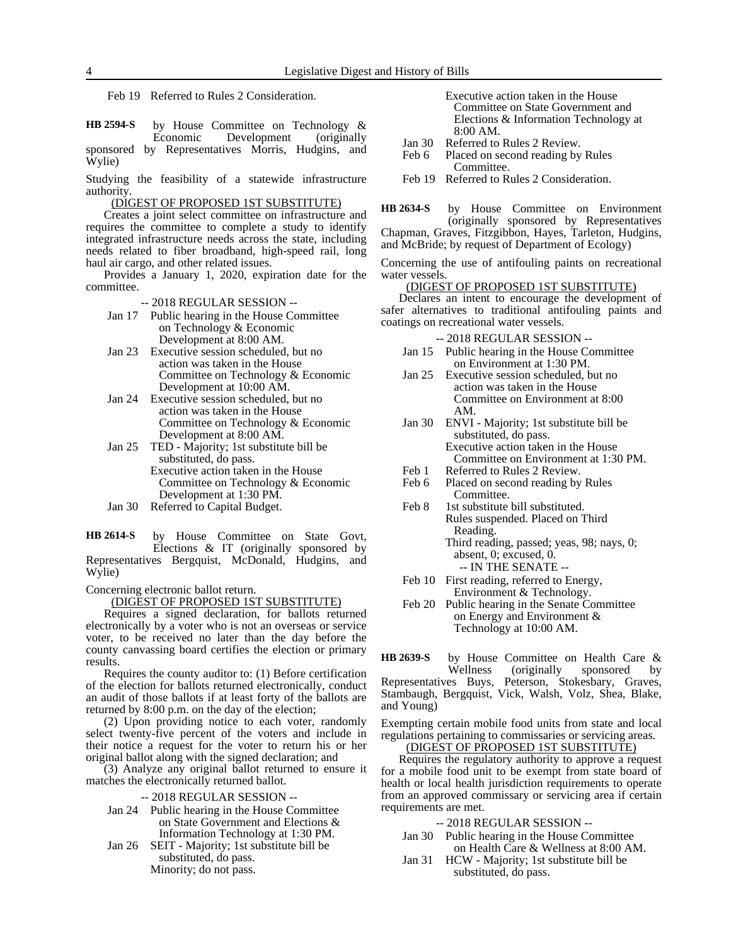Feb 19 Referred to Rules 2 Consideration.

by House Committee on Technology & Economic Development (originally sponsored by Representatives Morris, Hudgins, and Wylie) **HB 2594-S**

Studying the feasibility of a statewide infrastructure authority.

### (DIGEST OF PROPOSED 1ST SUBSTITUTE)

Creates a joint select committee on infrastructure and requires the committee to complete a study to identify integrated infrastructure needs across the state, including needs related to fiber broadband, high-speed rail, long haul air cargo, and other related issues.

Provides a January 1, 2020, expiration date for the committee.

- -- 2018 REGULAR SESSION --
- Jan 17 Public hearing in the House Committee on Technology & Economic Development at 8:00 AM.
- Jan 23 Executive session scheduled, but no action was taken in the House Committee on Technology & Economic Development at 10:00 AM.
- Jan 24 Executive session scheduled, but no action was taken in the House Committee on Technology & Economic Development at 8:00 AM.
- Jan 25 TED Majority; 1st substitute bill be substituted, do pass. Executive action taken in the House Committee on Technology & Economic Development at 1:30 PM.
- Jan 30 Referred to Capital Budget.

by House Committee on State Govt, Elections & IT (originally sponsored by Representatives Bergquist, McDonald, Hudgins, and Wylie) **HB 2614-S**

Concerning electronic ballot return.

(DIGEST OF PROPOSED 1ST SUBSTITUTE)

Requires a signed declaration, for ballots returned electronically by a voter who is not an overseas or service voter, to be received no later than the day before the county canvassing board certifies the election or primary results.

Requires the county auditor to: (1) Before certification of the election for ballots returned electronically, conduct an audit of those ballots if at least forty of the ballots are returned by 8:00 p.m. on the day of the election;

(2) Upon providing notice to each voter, randomly select twenty-five percent of the voters and include in their notice a request for the voter to return his or her original ballot along with the signed declaration; and

(3) Analyze any original ballot returned to ensure it matches the electronically returned ballot.

- -- 2018 REGULAR SESSION --
- Jan 24 Public hearing in the House Committee on State Government and Elections & Information Technology at 1:30 PM.
- Jan 26 SEIT Majority; 1st substitute bill be substituted, do pass. Minority; do not pass.
- Executive action taken in the House Committee on State Government and Elections & Information Technology at 8:00 AM.
- Jan 30 Referred to Rules 2 Review.<br>Feb 6 Placed on second reading by
- Placed on second reading by Rules Committee.
- Feb 19 Referred to Rules 2 Consideration.
- by House Committee on Environment (originally sponsored by Representatives Chapman, Graves, Fitzgibbon, Hayes, Tarleton, Hudgins, **HB 2634-S**

and McBride; by request of Department of Ecology)

Concerning the use of antifouling paints on recreational water vessels.

#### (DIGEST OF PROPOSED 1ST SUBSTITUTE)

Declares an intent to encourage the development of safer alternatives to traditional antifouling paints and coatings on recreational water vessels.

-- 2018 REGULAR SESSION --

- Jan 15 Public hearing in the House Committee on Environment at 1:30 PM.
- Jan 25 Executive session scheduled, but no action was taken in the House Committee on Environment at 8:00 AM.
- Jan 30 ENVI Majority; 1st substitute bill be substituted, do pass. Executive action taken in the House Committee on Environment at 1:30 PM.
- Feb 1 Referred to Rules 2 Review.
- Feb 6 Placed on second reading by Rules Committee.
- Feb 8 1st substitute bill substituted. Rules suspended. Placed on Third Reading. Third reading, passed; yeas, 98; nays, 0; absent, 0; excused, 0.
	- -- IN THE SENATE --
- Feb 10 First reading, referred to Energy, Environment & Technology.
- Feb 20 Public hearing in the Senate Committee on Energy and Environment & Technology at 10:00 AM.

by House Committee on Health Care & Wellness (originally sponsored by Representatives Buys, Peterson, Stokesbary, Graves, Stambaugh, Bergquist, Vick, Walsh, Volz, Shea, Blake, and Young) **HB 2639-S**

Exempting certain mobile food units from state and local regulations pertaining to commissaries or servicing areas.

### (DIGEST OF PROPOSED 1ST SUBSTITUTE)

Requires the regulatory authority to approve a request for a mobile food unit to be exempt from state board of health or local health jurisdiction requirements to operate from an approved commissary or servicing area if certain requirements are met.

- -- 2018 REGULAR SESSION --
- Jan 30 Public hearing in the House Committee on Health Care & Wellness at 8:00 AM.
- Jan 31 HCW Majority; 1st substitute bill be substituted, do pass.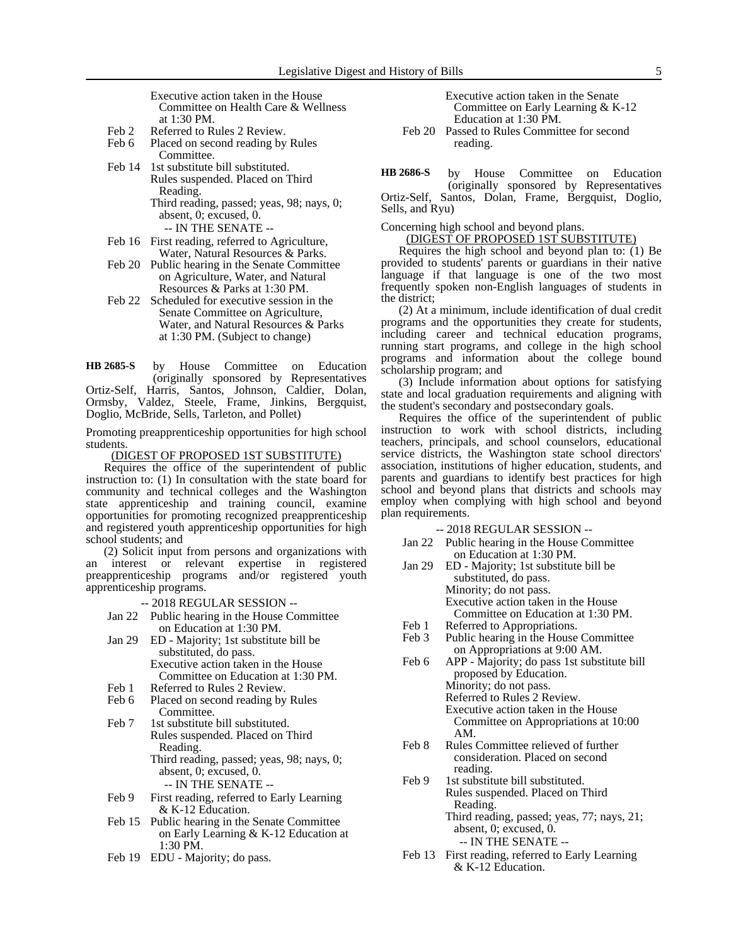Executive action taken in the House Committee on Health Care & Wellness at 1:30 PM.

- Feb 2 Referred to Rules 2 Review.
- Feb 6 Placed on second reading by Rules Committee.
- Feb 14 1st substitute bill substituted. Rules suspended. Placed on Third Reading. Third reading, passed; yeas, 98; nays, 0;

absent, 0; excused, 0. -- IN THE SENATE --

- Feb 16 First reading, referred to Agriculture, Water, Natural Resources & Parks.
- Feb 20 Public hearing in the Senate Committee on Agriculture, Water, and Natural Resources & Parks at 1:30 PM.
- Feb 22 Scheduled for executive session in the Senate Committee on Agriculture, Water, and Natural Resources & Parks at 1:30 PM. (Subject to change)

by House Committee on Education (originally sponsored by Representatives Ortiz-Self, Harris, Santos, Johnson, Caldier, Dolan, Ormsby, Valdez, Steele, Frame, Jinkins, Bergquist, Doglio, McBride, Sells, Tarleton, and Pollet) **HB 2685-S**

Promoting preapprenticeship opportunities for high school students.

(DIGEST OF PROPOSED 1ST SUBSTITUTE)

Requires the office of the superintendent of public instruction to: (1) In consultation with the state board for community and technical colleges and the Washington state apprenticeship and training council, examine opportunities for promoting recognized preapprenticeship and registered youth apprenticeship opportunities for high school students; and

(2) Solicit input from persons and organizations with interest or relevant expertise in registered preapprenticeship programs and/or registered youth apprenticeship programs.

-- 2018 REGULAR SESSION --

- Jan 22 Public hearing in the House Committee on Education at 1:30 PM.
- Jan 29 ED Majority; 1st substitute bill be substituted, do pass. Executive action taken in the House Committee on Education at 1:30 PM.
- Feb 1 Referred to Rules 2 Review.
- Feb 6 Placed on second reading by Rules Committee.
- Feb 7 1st substitute bill substituted. Rules suspended. Placed on Third Reading. Third reading, passed; yeas, 98; nays, 0; absent, 0; excused, 0.

-- IN THE SENATE --

- Feb 9 First reading, referred to Early Learning & K-12 Education.
- Feb 15 Public hearing in the Senate Committee on Early Learning & K-12 Education at 1:30 PM.
- Feb 19 EDU Majority; do pass.

Executive action taken in the Senate Committee on Early Learning & K-12 Education at 1:30 PM.

Feb 20 Passed to Rules Committee for second reading.

by House Committee on Education (originally sponsored by Representatives Ortiz-Self, Santos, Dolan, Frame, Bergquist, Doglio, Sells, and Ryu) **HB 2686-S**

Concerning high school and beyond plans.

(DIGEST OF PROPOSED 1ST SUBSTITUTE)

Requires the high school and beyond plan to: (1) Be provided to students' parents or guardians in their native language if that language is one of the two most frequently spoken non-English languages of students in the district;

(2) At a minimum, include identification of dual credit programs and the opportunities they create for students, including career and technical education programs, running start programs, and college in the high school programs and information about the college bound scholarship program; and

(3) Include information about options for satisfying state and local graduation requirements and aligning with the student's secondary and postsecondary goals.

Requires the office of the superintendent of public instruction to work with school districts, including teachers, principals, and school counselors, educational service districts, the Washington state school directors' association, institutions of higher education, students, and parents and guardians to identify best practices for high school and beyond plans that districts and schools may employ when complying with high school and beyond plan requirements.

-- 2018 REGULAR SESSION --

- Jan 22 Public hearing in the House Committee on Education at 1:30 PM.
- Jan 29 ED Majority; 1st substitute bill be substituted, do pass. Minority; do not pass. Executive action taken in the House Committee on Education at 1:30 PM.
- Feb 1 Referred to Appropriations.<br>Feb 3 Public hearing in the House Public hearing in the House Committee on Appropriations at 9:00 AM.
- Feb 6 APP Majority; do pass 1st substitute bill proposed by Education. Minority; do not pass.

Referred to Rules 2 Review.

- Executive action taken in the House Committee on Appropriations at 10:00 AM.
- Feb 8 Rules Committee relieved of further consideration. Placed on second reading.
- Feb 9 1st substitute bill substituted. Rules suspended. Placed on Third Reading. Third reading, passed; yeas, 77; nays, 21;

absent, 0; excused, 0. -- IN THE SENATE --

Feb 13 First reading, referred to Early Learning & K-12 Education.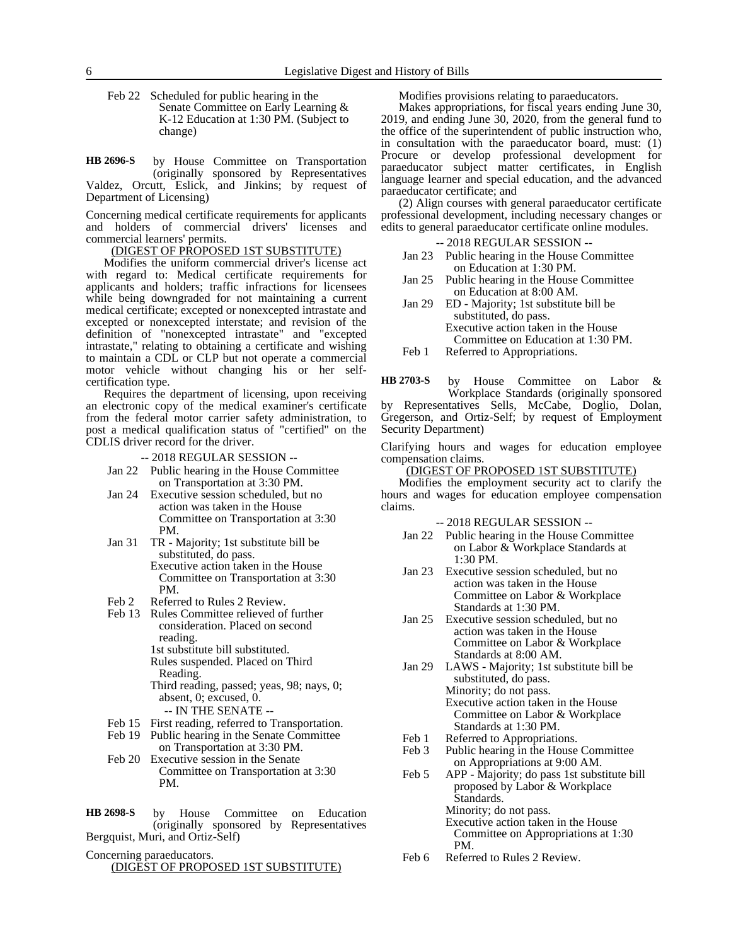Feb 22 Scheduled for public hearing in the Senate Committee on Early Learning & K-12 Education at 1:30 PM. (Subject to change)

by House Committee on Transportation (originally sponsored by Representatives Valdez, Orcutt, Eslick, and Jinkins; by request of Department of Licensing) **HB 2696-S**

Concerning medical certificate requirements for applicants and holders of commercial drivers' licenses and commercial learners' permits.

(DIGEST OF PROPOSED 1ST SUBSTITUTE)

Modifies the uniform commercial driver's license act with regard to: Medical certificate requirements for applicants and holders; traffic infractions for licensees while being downgraded for not maintaining a current medical certificate; excepted or nonexcepted intrastate and excepted or nonexcepted interstate; and revision of the definition of "nonexcepted intrastate" and "excepted intrastate," relating to obtaining a certificate and wishing to maintain a CDL or CLP but not operate a commercial motor vehicle without changing his or her selfcertification type.

Requires the department of licensing, upon receiving an electronic copy of the medical examiner's certificate from the federal motor carrier safety administration, to post a medical qualification status of "certified" on the CDLIS driver record for the driver.

-- 2018 REGULAR SESSION --

- Jan 22 Public hearing in the House Committee on Transportation at 3:30 PM.
- Jan 24 Executive session scheduled, but no action was taken in the House Committee on Transportation at 3:30 PM.
- Jan 31 TR Majority; 1st substitute bill be substituted, do pass. Executive action taken in the House Committee on Transportation at 3:30 PM.
- Feb 2 Referred to Rules 2 Review.
- Feb 13 Rules Committee relieved of further consideration. Placed on second reading. 1st substitute bill substituted.
	- Rules suspended. Placed on Third Reading.
	- Third reading, passed; yeas, 98; nays, 0; absent, 0; excused, 0. -- IN THE SENATE --
- Feb 15 First reading, referred to Transportation.
- Feb 19 Public hearing in the Senate Committee
- on Transportation at 3:30 PM. Feb 20 Executive session in the Senate
	- Committee on Transportation at 3:30 PM.
- by House Committee on Education (originally sponsored by Representatives Bergquist, Muri, and Ortiz-Self) **HB 2698-S**

Concerning paraeducators. (DIGEST OF PROPOSED 1ST SUBSTITUTE) Modifies provisions relating to paraeducators.

Makes appropriations, for fiscal years ending June 30, 2019, and ending June 30, 2020, from the general fund to the office of the superintendent of public instruction who, in consultation with the paraeducator board, must: (1) Procure or develop professional development for paraeducator subject matter certificates, in English language learner and special education, and the advanced paraeducator certificate; and

(2) Align courses with general paraeducator certificate professional development, including necessary changes or edits to general paraeducator certificate online modules.

-- 2018 REGULAR SESSION --

- Jan 23 Public hearing in the House Committee on Education at 1:30 PM.
- Jan 25 Public hearing in the House Committee on Education at 8:00 AM.
- Jan 29 ED Majority; 1st substitute bill be substituted, do pass. Executive action taken in the House Committee on Education at 1:30 PM.
- Feb 1 Referred to Appropriations.

by House Committee on Labor & Workplace Standards (originally sponsored by Representatives Sells, McCabe, Doglio, Dolan, Gregerson, and Ortiz-Self; by request of Employment **HB 2703-S**

Security Department) Clarifying hours and wages for education employee

#### compensation claims. (DIGEST OF PROPOSED 1ST SUBSTITUTE)

Modifies the employment security act to clarify the hours and wages for education employee compensation claims.

-- 2018 REGULAR SESSION --

- Jan 22 Public hearing in the House Committee on Labor & Workplace Standards at 1:30 PM.
- Jan 23 Executive session scheduled, but no action was taken in the House Committee on Labor & Workplace Standards at 1:30 PM.
- Jan 25 Executive session scheduled, but no action was taken in the House Committee on Labor & Workplace Standards at 8:00 AM.
- Jan 29 LAWS Majority; 1st substitute bill be substituted, do pass. Minority; do not pass. Executive action taken in the House Committee on Labor & Workplace Standards at 1:30 PM.
- Feb 1 Referred to Appropriations.<br>Feb 3 Public hearing in the House
- Public hearing in the House Committee on Appropriations at 9:00 AM.
- Feb 5 APP Majority; do pass 1st substitute bill proposed by Labor & Workplace Standards. Minority; do not pass. Executive action taken in the House
	-
	- Committee on Appropriations at 1:30 PM.
- Feb 6 Referred to Rules 2 Review.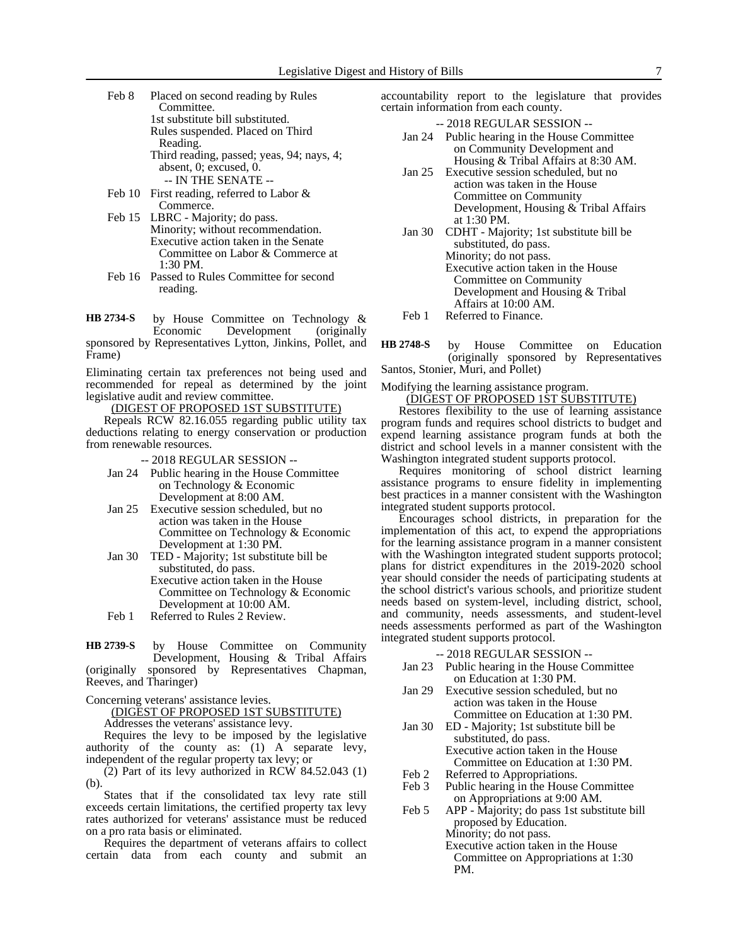- Feb 8 Placed on second reading by Rules Committee. 1st substitute bill substituted. Rules suspended. Placed on Third Reading. Third reading, passed; yeas, 94; nays, 4; absent, 0; excused, 0. -- IN THE SENATE --
- Feb 10 First reading, referred to Labor & Commerce.
- Feb 15 LBRC Majority; do pass. Minority; without recommendation. Executive action taken in the Senate Committee on Labor & Commerce at 1:30 PM.
- Feb 16 Passed to Rules Committee for second reading.

by House Committee on Technology & Economic Development (originally sponsored by Representatives Lytton, Jinkins, Pollet, and Frame) **HB 2734-S**

Eliminating certain tax preferences not being used and recommended for repeal as determined by the joint legislative audit and review committee.

(DIGEST OF PROPOSED 1ST SUBSTITUTE)

Repeals RCW 82.16.055 regarding public utility tax deductions relating to energy conservation or production from renewable resources.

-- 2018 REGULAR SESSION --

- Jan 24 Public hearing in the House Committee on Technology & Economic Development at 8:00 AM.
- Jan 25 Executive session scheduled, but no action was taken in the House Committee on Technology & Economic Development at 1:30 PM.
- Jan 30 TED Majority; 1st substitute bill be substituted, do pass.
	- Executive action taken in the House Committee on Technology & Economic Development at 10:00 AM.
- Feb 1 Referred to Rules 2 Review.

by House Committee on Community Development, Housing & Tribal Affairs (originally sponsored by Representatives Chapman, Reeves, and Tharinger) **HB 2739-S**

Concerning veterans' assistance levies.

(DIGEST OF PROPOSED 1ST SUBSTITUTE)

Addresses the veterans' assistance levy.

Requires the levy to be imposed by the legislative authority of the county as: (1) A separate levy, independent of the regular property tax levy; or

(2) Part of its levy authorized in RCW 84.52.043 (1) (b).

States that if the consolidated tax levy rate still exceeds certain limitations, the certified property tax levy rates authorized for veterans' assistance must be reduced on a pro rata basis or eliminated.

Requires the department of veterans affairs to collect certain data from each county and submit an accountability report to the legislature that provides certain information from each county.

-- 2018 REGULAR SESSION --

- Jan 24 Public hearing in the House Committee on Community Development and Housing & Tribal Affairs at 8:30 AM.
- Jan 25 Executive session scheduled, but no action was taken in the House Committee on Community Development, Housing & Tribal Affairs at 1:30 PM.
- Jan 30 CDHT Majority; 1st substitute bill be substituted, do pass. Minority; do not pass. Executive action taken in the House Committee on Community Development and Housing & Tribal Affairs at 10:00 AM.
- Feb 1 Referred to Finance.

by House Committee on Education (originally sponsored by Representatives Santos, Stonier, Muri, and Pollet) **HB 2748-S**

Modifying the learning assistance program.

#### (DIGEST OF PROPOSED 1ST SUBSTITUTE)

Restores flexibility to the use of learning assistance program funds and requires school districts to budget and expend learning assistance program funds at both the district and school levels in a manner consistent with the Washington integrated student supports protocol.

Requires monitoring of school district learning assistance programs to ensure fidelity in implementing best practices in a manner consistent with the Washington integrated student supports protocol.

Encourages school districts, in preparation for the implementation of this act, to expend the appropriations for the learning assistance program in a manner consistent with the Washington integrated student supports protocol; plans for district expenditures in the 2019-2020 school year should consider the needs of participating students at the school district's various schools, and prioritize student needs based on system-level, including district, school, and community, needs assessments, and student-level needs assessments performed as part of the Washington integrated student supports protocol.

-- 2018 REGULAR SESSION --

- Jan 23 Public hearing in the House Committee on Education at 1:30 PM.
- Jan 29 Executive session scheduled, but no action was taken in the House Committee on Education at 1:30 PM.
- Jan 30 ED Majority; 1st substitute bill be substituted, do pass. Executive action taken in the House Committee on Education at 1:30 PM.
- Feb 2 Referred to Appropriations.
- Feb 3 Public hearing in the House Committee on Appropriations at 9:00 AM.
- Feb 5 APP Majority; do pass 1st substitute bill proposed by Education. Minority; do not pass. Executive action taken in the House Committee on Appropriations at 1:30 PM.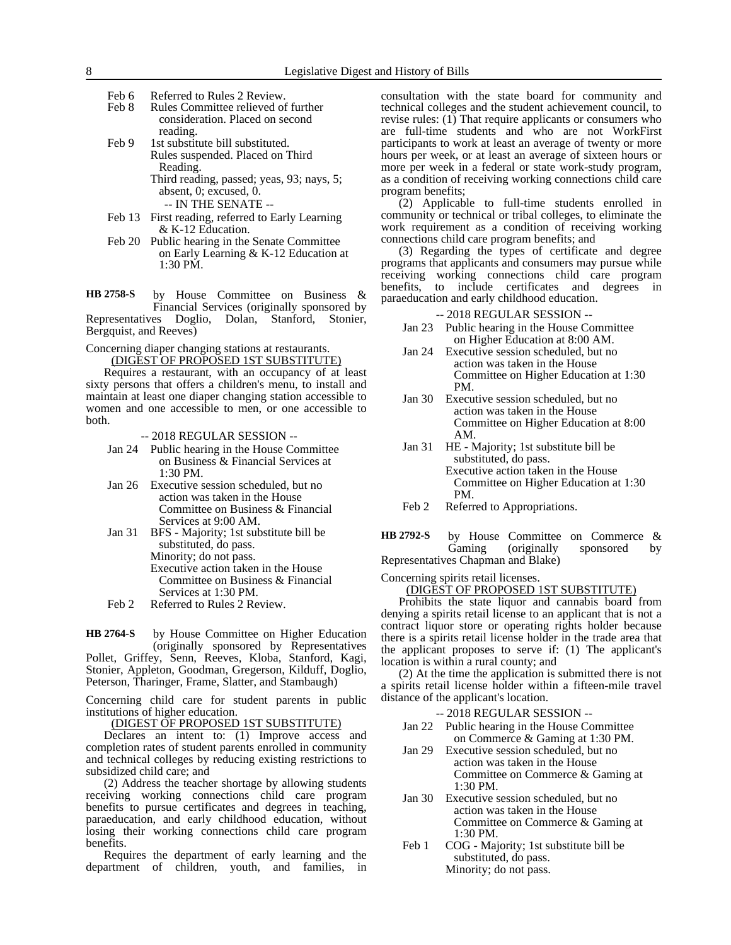- Feb 6 Referred to Rules 2 Review.
- Feb 8 Rules Committee relieved of further consideration. Placed on second reading.
- Feb 9 1st substitute bill substituted. Rules suspended. Placed on Third Reading. Third reading, passed; yeas, 93; nays, 5; absent, 0; excused, 0.

-- IN THE SENATE --

- Feb 13 First reading, referred to Early Learning & K-12 Education.
- Feb 20 Public hearing in the Senate Committee on Early Learning & K-12 Education at 1:30 PM.

by House Committee on Business & Financial Services (originally sponsored by Representatives Doglio, Dolan, Stanford, Stonier, Bergquist, and Reeves) **HB 2758-S**

Concerning diaper changing stations at restaurants. (DIGEST OF PROPOSED 1ST SUBSTITUTE)

Requires a restaurant, with an occupancy of at least sixty persons that offers a children's menu, to install and maintain at least one diaper changing station accessible to women and one accessible to men, or one accessible to both.

-- 2018 REGULAR SESSION --

- Jan 24 Public hearing in the House Committee on Business & Financial Services at 1:30 PM.
- Jan 26 Executive session scheduled, but no action was taken in the House Committee on Business & Financial Services at 9:00 AM.
- Jan 31 BFS Majority; 1st substitute bill be substituted, do pass. Minority; do not pass. Executive action taken in the House Committee on Business & Financial Services at 1:30 PM.
- Feb 2 Referred to Rules 2 Review.

by House Committee on Higher Education (originally sponsored by Representatives Pollet, Griffey, Senn, Reeves, Kloba, Stanford, Kagi, **HB 2764-S**

Stonier, Appleton, Goodman, Gregerson, Kilduff, Doglio, Peterson, Tharinger, Frame, Slatter, and Stambaugh)

Concerning child care for student parents in public institutions of higher education.

(DIGEST OF PROPOSED 1ST SUBSTITUTE)

Declares an intent to: (1) Improve access and completion rates of student parents enrolled in community and technical colleges by reducing existing restrictions to subsidized child care; and

(2) Address the teacher shortage by allowing students receiving working connections child care program benefits to pursue certificates and degrees in teaching, paraeducation, and early childhood education, without losing their working connections child care program benefits.

Requires the department of early learning and the department of children, youth, and families, in consultation with the state board for community and technical colleges and the student achievement council, to revise rules: (1) That require applicants or consumers who are full-time students and who are not WorkFirst participants to work at least an average of twenty or more hours per week, or at least an average of sixteen hours or more per week in a federal or state work-study program, as a condition of receiving working connections child care program benefits;

(2) Applicable to full-time students enrolled in community or technical or tribal colleges, to eliminate the work requirement as a condition of receiving working connections child care program benefits; and

(3) Regarding the types of certificate and degree programs that applicants and consumers may pursue while receiving working connections child care program benefits, to include certificates and degrees in paraeducation and early childhood education.

-- 2018 REGULAR SESSION --

- Jan 23 Public hearing in the House Committee on Higher Education at 8:00 AM.
- Jan 24 Executive session scheduled, but no action was taken in the House Committee on Higher Education at 1:30 PM.
- Jan 30 Executive session scheduled, but no action was taken in the House Committee on Higher Education at 8:00 AM.
- Jan 31 HE Majority; 1st substitute bill be substituted, do pass. Executive action taken in the House Committee on Higher Education at 1:30 PM.
- Feb 2 Referred to Appropriations.
- by House Committee on Commerce & Gaming (originally sponsored by Representatives Chapman and Blake) **HB 2792-S**

Concerning spirits retail licenses.

(DIGEST OF PROPOSED 1ST SUBSTITUTE)

Prohibits the state liquor and cannabis board from denying a spirits retail license to an applicant that is not a contract liquor store or operating rights holder because there is a spirits retail license holder in the trade area that the applicant proposes to serve if: (1) The applicant's location is within a rural county; and

(2) At the time the application is submitted there is not a spirits retail license holder within a fifteen-mile travel distance of the applicant's location.

-- 2018 REGULAR SESSION --

- Jan 22 Public hearing in the House Committee on Commerce & Gaming at 1:30 PM.
- Jan 29 Executive session scheduled, but no action was taken in the House Committee on Commerce & Gaming at 1:30 PM.
- Jan 30 Executive session scheduled, but no action was taken in the House Committee on Commerce & Gaming at 1:30 PM.
- Feb 1 COG Majority; 1st substitute bill be substituted, do pass. Minority; do not pass.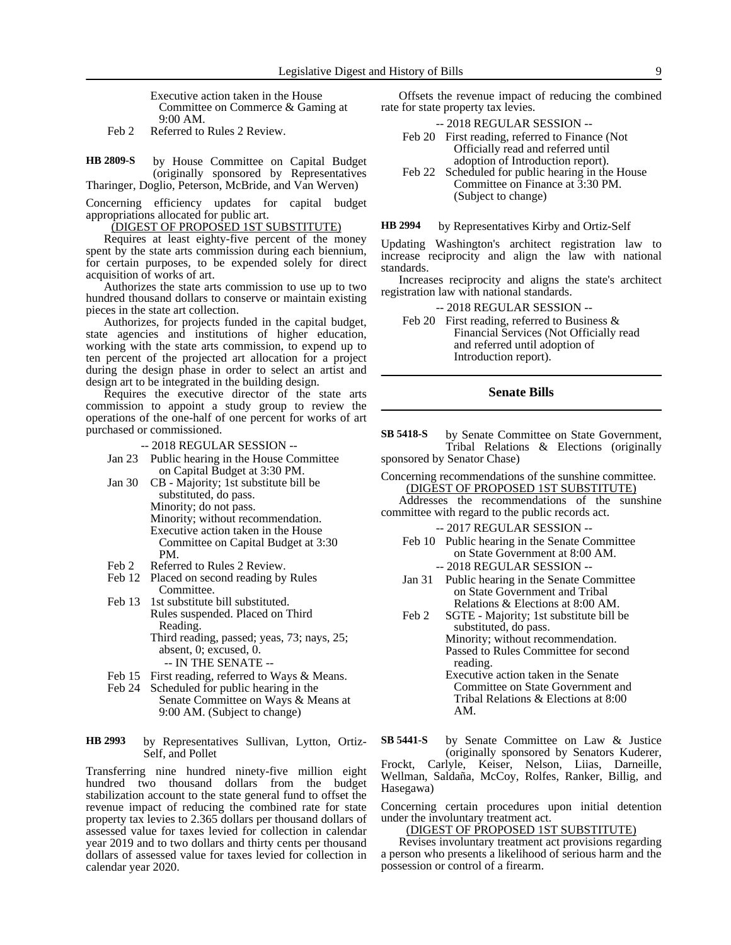Executive action taken in the House Committee on Commerce & Gaming at 9:00 AM.

Feb 2 Referred to Rules 2 Review.

by House Committee on Capital Budget (originally sponsored by Representatives Tharinger, Doglio, Peterson, McBride, and Van Werven) **HB 2809-S**

Concerning efficiency updates for capital budget appropriations allocated for public art.

## (DIGEST OF PROPOSED 1ST SUBSTITUTE)

Requires at least eighty-five percent of the money spent by the state arts commission during each biennium, for certain purposes, to be expended solely for direct acquisition of works of art.

Authorizes the state arts commission to use up to two hundred thousand dollars to conserve or maintain existing pieces in the state art collection.

Authorizes, for projects funded in the capital budget, state agencies and institutions of higher education, working with the state arts commission, to expend up to ten percent of the projected art allocation for a project during the design phase in order to select an artist and design art to be integrated in the building design.

Requires the executive director of the state arts commission to appoint a study group to review the operations of the one-half of one percent for works of art purchased or commissioned.

-- 2018 REGULAR SESSION --

- Jan 23 Public hearing in the House Committee on Capital Budget at 3:30 PM.
- Jan 30 CB Majority; 1st substitute bill be substituted, do pass. Minority; do not pass. Minority; without recommendation. Executive action taken in the House Committee on Capital Budget at 3:30 PM.
- Feb 2 Referred to Rules 2 Review.
- Feb 12 Placed on second reading by Rules Committee.
- Feb 13 1st substitute bill substituted. Rules suspended. Placed on Third Reading. Third reading, passed; yeas, 73; nays, 25;
	- absent, 0; excused, 0. -- IN THE SENATE --
	-
- Feb 15 First reading, referred to Ways & Means.
- Feb 24 Scheduled for public hearing in the Senate Committee on Ways & Means at 9:00 AM. (Subject to change)

by Representatives Sullivan, Lytton, Ortiz-Self, and Pollet **HB 2993**

Transferring nine hundred ninety-five million eight hundred two thousand dollars from the budget stabilization account to the state general fund to offset the revenue impact of reducing the combined rate for state property tax levies to 2.365 dollars per thousand dollars of assessed value for taxes levied for collection in calendar year 2019 and to two dollars and thirty cents per thousand dollars of assessed value for taxes levied for collection in calendar year 2020.

Offsets the revenue impact of reducing the combined rate for state property tax levies.

-- 2018 REGULAR SESSION --

- Feb 20 First reading, referred to Finance (Not Officially read and referred until adoption of Introduction report).
- Feb 22 Scheduled for public hearing in the House Committee on Finance at 3:30 PM. (Subject to change)

by Representatives Kirby and Ortiz-Self **HB 2994**

Updating Washington's architect registration law to increase reciprocity and align the law with national standards.

Increases reciprocity and aligns the state's architect registration law with national standards.

-- 2018 REGULAR SESSION --

Feb 20 First reading, referred to Business & Financial Services (Not Officially read and referred until adoption of Introduction report).

#### **Senate Bills**

by Senate Committee on State Government, Tribal Relations & Elections (originally sponsored by Senator Chase) **SB 5418-S**

Concerning recommendations of the sunshine committee. (DIGEST OF PROPOSED 1ST SUBSTITUTE)

Addresses the recommendations of the sunshine committee with regard to the public records act.

-- 2017 REGULAR SESSION --

- Feb 10 Public hearing in the Senate Committee on State Government at 8:00 AM. -- 2018 REGULAR SESSION --
- Jan 31 Public hearing in the Senate Committee on State Government and Tribal Relations & Elections at 8:00 AM.
- Feb 2 SGTE Majority; 1st substitute bill be substituted, do pass. Minority; without recommendation.
	- Passed to Rules Committee for second reading.
	- Executive action taken in the Senate Committee on State Government and Tribal Relations & Elections at 8:00 AM.

by Senate Committee on Law & Justice (originally sponsored by Senators Kuderer, **SB 5441-S**

Frockt, Carlyle, Keiser, Nelson, Liias, Darneille, Wellman, Saldaña, McCoy, Rolfes, Ranker, Billig, and Hasegawa)

Concerning certain procedures upon initial detention under the involuntary treatment act.

(DIGEST OF PROPOSED 1ST SUBSTITUTE)

Revises involuntary treatment act provisions regarding a person who presents a likelihood of serious harm and the possession or control of a firearm.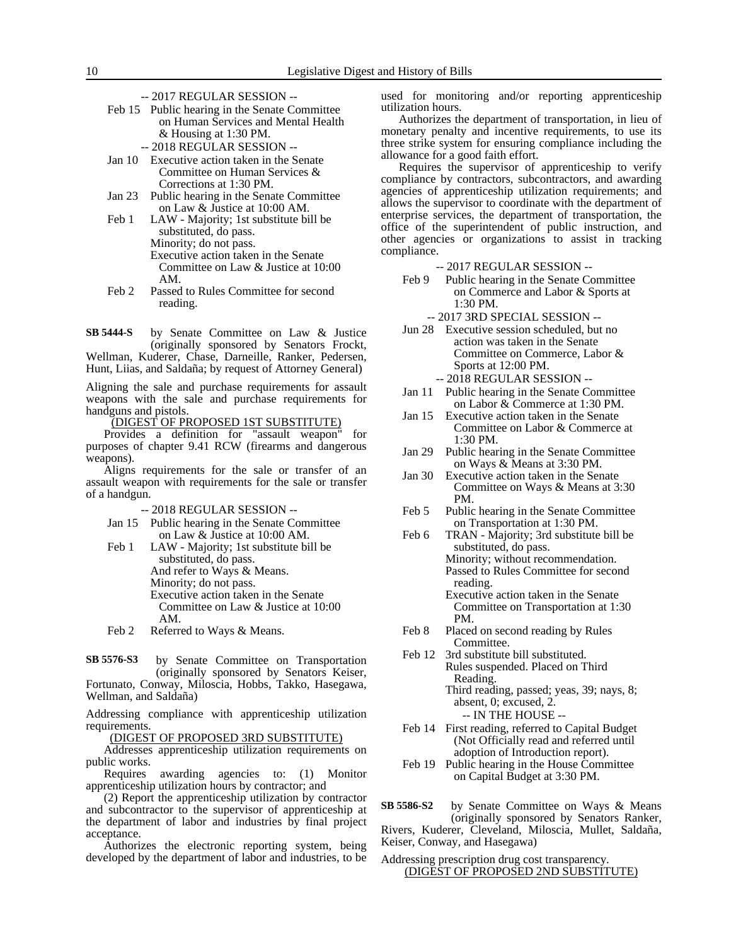-- 2017 REGULAR SESSION --

- Feb 15 Public hearing in the Senate Committee on Human Services and Mental Health & Housing at 1:30 PM.
	- -- 2018 REGULAR SESSION --
- Jan 10 Executive action taken in the Senate Committee on Human Services & Corrections at 1:30 PM.
- Jan 23 Public hearing in the Senate Committee on Law & Justice at 10:00 AM.
- Feb 1 LAW Majority; 1st substitute bill be substituted, do pass. Minority; do not pass. Executive action taken in the Senate Committee on Law & Justice at 10:00 AM.
- Feb 2 Passed to Rules Committee for second reading.

by Senate Committee on Law & Justice (originally sponsored by Senators Frockt, Wellman, Kuderer, Chase, Darneille, Ranker, Pedersen, **SB 5444-S**

Hunt, Liias, and Saldaña; by request of Attorney General)

Aligning the sale and purchase requirements for assault weapons with the sale and purchase requirements for handguns and pistols.

(DIGEST OF PROPOSED 1ST SUBSTITUTE)

Provides a definition for "assault weapon" for purposes of chapter 9.41 RCW (firearms and dangerous weapons).

Aligns requirements for the sale or transfer of an assault weapon with requirements for the sale or transfer of a handgun.

- -- 2018 REGULAR SESSION --
- Jan 15 Public hearing in the Senate Committee on Law & Justice at 10:00 AM.
- Feb 1 LAW Majority; 1st substitute bill be substituted, do pass. And refer to Ways & Means. Minority; do not pass. Executive action taken in the Senate Committee on Law & Justice at 10:00 AM. Feb 2 Referred to Ways & Means.
- 

by Senate Committee on Transportation (originally sponsored by Senators Keiser, Fortunato, Conway, Miloscia, Hobbs, Takko, Hasegawa, **SB 5576-S3**

Wellman, and Saldaña)

Addressing compliance with apprenticeship utilization requirements.

(DIGEST OF PROPOSED 3RD SUBSTITUTE)

Addresses apprenticeship utilization requirements on public works.

Requires awarding agencies to: (1) Monitor apprenticeship utilization hours by contractor; and

(2) Report the apprenticeship utilization by contractor and subcontractor to the supervisor of apprenticeship at the department of labor and industries by final project acceptance.

Authorizes the electronic reporting system, being developed by the department of labor and industries, to be used for monitoring and/or reporting apprenticeship utilization hours.

Authorizes the department of transportation, in lieu of monetary penalty and incentive requirements, to use its three strike system for ensuring compliance including the allowance for a good faith effort.

Requires the supervisor of apprenticeship to verify compliance by contractors, subcontractors, and awarding agencies of apprenticeship utilization requirements; and allows the supervisor to coordinate with the department of enterprise services, the department of transportation, the office of the superintendent of public instruction, and other agencies or organizations to assist in tracking compliance.

- -- 2017 REGULAR SESSION --
- Feb 9 Public hearing in the Senate Committee on Commerce and Labor & Sports at 1:30 PM.
	- -- 2017 3RD SPECIAL SESSION --
- Jun 28 Executive session scheduled, but no action was taken in the Senate Committee on Commerce, Labor & Sports at 12:00 PM. -- 2018 REGULAR SESSION --
- Jan 11 Public hearing in the Senate Committee on Labor & Commerce at 1:30 PM.
- Jan 15 Executive action taken in the Senate Committee on Labor & Commerce at 1:30 PM.
- Jan 29 Public hearing in the Senate Committee on Ways & Means at 3:30 PM.
- Jan 30 Executive action taken in the Senate Committee on Ways & Means at 3:30 PM.
- Feb 5 Public hearing in the Senate Committee on Transportation at 1:30 PM.
- Feb 6 TRAN Majority; 3rd substitute bill be substituted, do pass. Minority; without recommendation. Passed to Rules Committee for second reading. Executive action taken in the Senate
	- Committee on Transportation at 1:30 PM.
- Feb 8 Placed on second reading by Rules Committee.
- Feb 12 3rd substitute bill substituted. Rules suspended. Placed on Third Reading.
	- Third reading, passed; yeas, 39; nays, 8; absent, 0; excused, 2. -- IN THE HOUSE --
- Feb 14 First reading, referred to Capital Budget (Not Officially read and referred until adoption of Introduction report).
- Feb 19 Public hearing in the House Committee on Capital Budget at 3:30 PM.

by Senate Committee on Ways & Means (originally sponsored by Senators Ranker, Rivers, Kuderer, Cleveland, Miloscia, Mullet, Saldaña, **SB 5586-S2**

Keiser, Conway, and Hasegawa)

#### Addressing prescription drug cost transparency. (DIGEST OF PROPOSED 2ND SUBSTITUTE)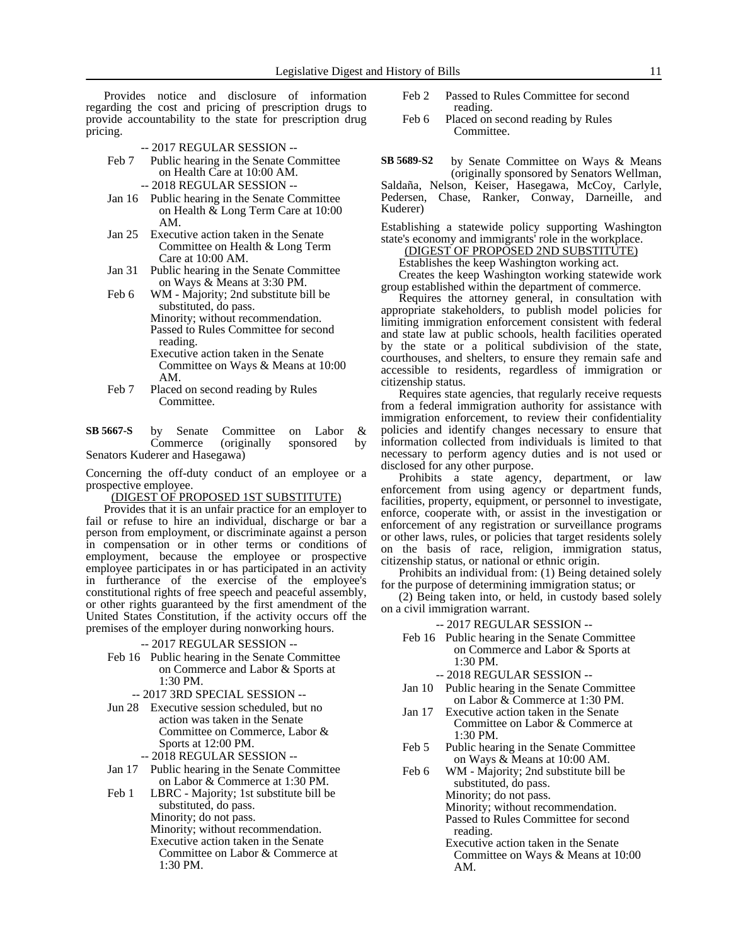Provides notice and disclosure of information regarding the cost and pricing of prescription drugs to provide accountability to the state for prescription drug pricing.

- -- 2017 REGULAR SESSION --
- Feb 7 Public hearing in the Senate Committee on Health Care at 10:00 AM.
	- -- 2018 REGULAR SESSION --
- Jan 16 Public hearing in the Senate Committee on Health & Long Term Care at 10:00 AM.
- Jan 25 Executive action taken in the Senate Committee on Health & Long Term Care at 10:00 AM.
- Jan 31 Public hearing in the Senate Committee on Ways & Means at 3:30 PM.
- Feb 6 WM Majority; 2nd substitute bill be substituted, do pass. Minority; without recommendation. Passed to Rules Committee for second reading.
	- Executive action taken in the Senate Committee on Ways & Means at 10:00 AM.
- Feb 7 Placed on second reading by Rules Committee.
- by Senate Committee on Labor & Commerce (originally sponsored by Senators Kuderer and Hasegawa) **SB 5667-S**

Concerning the off-duty conduct of an employee or a prospective employee.

(DIGEST OF PROPOSED 1ST SUBSTITUTE)

Provides that it is an unfair practice for an employer to fail or refuse to hire an individual, discharge or bar a person from employment, or discriminate against a person in compensation or in other terms or conditions of employment, because the employee or prospective employee participates in or has participated in an activity in furtherance of the exercise of the employee's constitutional rights of free speech and peaceful assembly, or other rights guaranteed by the first amendment of the United States Constitution, if the activity occurs off the premises of the employer during nonworking hours.

- -- 2017 REGULAR SESSION --
- Feb 16 Public hearing in the Senate Committee on Commerce and Labor & Sports at 1:30 PM.
	- -- 2017 3RD SPECIAL SESSION --
- Jun 28 Executive session scheduled, but no action was taken in the Senate Committee on Commerce, Labor & Sports at 12:00 PM.
	- -- 2018 REGULAR SESSION --
- Jan 17 Public hearing in the Senate Committee on Labor & Commerce at 1:30 PM.
- Feb 1 LBRC Majority; 1st substitute bill be substituted, do pass. Minority; do not pass. Minority; without recommendation. Executive action taken in the Senate Committee on Labor & Commerce at 1:30 PM.
- Feb 2 Passed to Rules Committee for second reading.
- Feb 6 Placed on second reading by Rules Committee.

by Senate Committee on Ways & Means (originally sponsored by Senators Wellman, Saldaña, Nelson, Keiser, Hasegawa, McCoy, Carlyle, Pedersen, Chase, Ranker, Conway, Darneille, and **SB 5689-S2**

Kuderer) Establishing a statewide policy supporting Washington state's economy and immigrants' role in the workplace.

(DIGEST OF PROPOSED 2ND SUBSTITUTE)

Establishes the keep Washington working act.

Creates the keep Washington working statewide work group established within the department of commerce.

Requires the attorney general, in consultation with appropriate stakeholders, to publish model policies for limiting immigration enforcement consistent with federal and state law at public schools, health facilities operated by the state or a political subdivision of the state, courthouses, and shelters, to ensure they remain safe and accessible to residents, regardless of immigration or citizenship status.

Requires state agencies, that regularly receive requests from a federal immigration authority for assistance with immigration enforcement, to review their confidentiality policies and identify changes necessary to ensure that information collected from individuals is limited to that necessary to perform agency duties and is not used or disclosed for any other purpose.

Prohibits a state agency, department, or law enforcement from using agency or department funds, facilities, property, equipment, or personnel to investigate, enforce, cooperate with, or assist in the investigation or enforcement of any registration or surveillance programs or other laws, rules, or policies that target residents solely on the basis of race, religion, immigration status, citizenship status, or national or ethnic origin.

Prohibits an individual from: (1) Being detained solely for the purpose of determining immigration status; or

(2) Being taken into, or held, in custody based solely on a civil immigration warrant.

-- 2017 REGULAR SESSION --

Feb 16 Public hearing in the Senate Committee on Commerce and Labor & Sports at 1:30 PM.

-- 2018 REGULAR SESSION --

- Jan 10 Public hearing in the Senate Committee on Labor & Commerce at 1:30 PM.
- Jan 17 Executive action taken in the Senate Committee on Labor & Commerce at 1:30 PM.
- Feb 5 Public hearing in the Senate Committee on Ways & Means at 10:00 AM.

Feb 6 WM - Majority; 2nd substitute bill be substituted, do pass. Minority; do not pass. Minority; without recommendation. Passed to Rules Committee for second reading.

> Executive action taken in the Senate Committee on Ways & Means at 10:00 AM.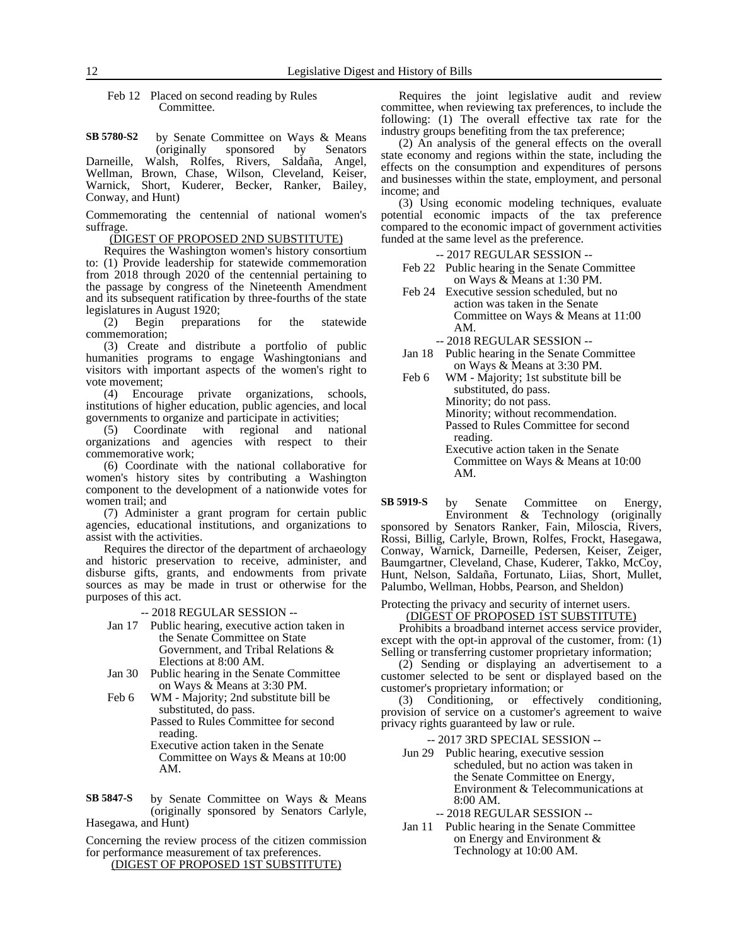Feb 12 Placed on second reading by Rules Committee.

by Senate Committee on Ways & Means (originally sponsored by Senators Darneille, Walsh, Rolfes, Rivers, Saldaña, Angel, Wellman, Brown, Chase, Wilson, Cleveland, Keiser, Warnick, Short, Kuderer, Becker, Ranker, Bailey, Conway, and Hunt) **SB 5780-S2**

Commemorating the centennial of national women's suffrage.

(DIGEST OF PROPOSED 2ND SUBSTITUTE)

Requires the Washington women's history consortium to: (1) Provide leadership for statewide commemoration from 2018 through 2020 of the centennial pertaining to the passage by congress of the Nineteenth Amendment and its subsequent ratification by three-fourths of the state legislatures in August 1920;

(2) Begin preparations for the statewide commemoration;

(3) Create and distribute a portfolio of public humanities programs to engage Washingtonians and visitors with important aspects of the women's right to vote movement;

(4) Encourage private organizations, schools, institutions of higher education, public agencies, and local governments to organize and participate in activities;

(5) Coordinate with regional and national organizations and agencies with respect to their commemorative work;

(6) Coordinate with the national collaborative for women's history sites by contributing a Washington component to the development of a nationwide votes for women trail; and

(7) Administer a grant program for certain public agencies, educational institutions, and organizations to assist with the activities.

Requires the director of the department of archaeology and historic preservation to receive, administer, and disburse gifts, grants, and endowments from private sources as may be made in trust or otherwise for the purposes of this act.

-- 2018 REGULAR SESSION --

- Jan 17 Public hearing, executive action taken in the Senate Committee on State Government, and Tribal Relations & Elections at 8:00 AM.
- Jan 30 Public hearing in the Senate Committee on Ways & Means at 3:30 PM.
- Feb 6 WM Majority; 2nd substitute bill be substituted, do pass. Passed to Rules Committee for second reading.

Executive action taken in the Senate Committee on Ways & Means at 10:00 AM.

by Senate Committee on Ways & Means (originally sponsored by Senators Carlyle, Hasegawa, and Hunt) **SB 5847-S**

Concerning the review process of the citizen commission for performance measurement of tax preferences.

(DIGEST OF PROPOSED 1ST SUBSTITUTE)

Requires the joint legislative audit and review committee, when reviewing tax preferences, to include the following: (1) The overall effective tax rate for the industry groups benefiting from the tax preference;

(2) An analysis of the general effects on the overall state economy and regions within the state, including the effects on the consumption and expenditures of persons and businesses within the state, employment, and personal income; and

(3) Using economic modeling techniques, evaluate potential economic impacts of the tax preference compared to the economic impact of government activities funded at the same level as the preference.

-- 2017 REGULAR SESSION --

- Feb 22 Public hearing in the Senate Committee on Ways & Means at 1:30 PM.
- Feb 24 Executive session scheduled, but no action was taken in the Senate Committee on Ways & Means at 11:00 AM.
	- -- 2018 REGULAR SESSION --
- Jan 18 Public hearing in the Senate Committee on Ways & Means at 3:30 PM.
- Feb 6 WM Majority; 1st substitute bill be substituted, do pass. Minority; do not pass. Minority; without recommendation. Passed to Rules Committee for second reading. Executive action taken in the Senate
	- Committee on Ways & Means at 10:00 AM.

by Senate Committee on Energy, Environment & Technology (originally sponsored by Senators Ranker, Fain, Miloscia, Rivers, Rossi, Billig, Carlyle, Brown, Rolfes, Frockt, Hasegawa, Conway, Warnick, Darneille, Pedersen, Keiser, Zeiger, Baumgartner, Cleveland, Chase, Kuderer, Takko, McCoy, Hunt, Nelson, Saldaña, Fortunato, Liias, Short, Mullet, Palumbo, Wellman, Hobbs, Pearson, and Sheldon) **SB 5919-S**

Protecting the privacy and security of internet users. (DIGEST OF PROPOSED 1ST SUBSTITUTE)

Prohibits a broadband internet access service provider, except with the opt-in approval of the customer, from: (1) Selling or transferring customer proprietary information;

(2) Sending or displaying an advertisement to a customer selected to be sent or displayed based on the customer's proprietary information; or

(3) Conditioning, or effectively conditioning, provision of service on a customer's agreement to waive privacy rights guaranteed by law or rule.

- -- 2017 3RD SPECIAL SESSION --
- Jun 29 Public hearing, executive session scheduled, but no action was taken in the Senate Committee on Energy, Environment & Telecommunications at 8:00 AM.
	- -- 2018 REGULAR SESSION --
- Jan 11 Public hearing in the Senate Committee on Energy and Environment & Technology at 10:00 AM.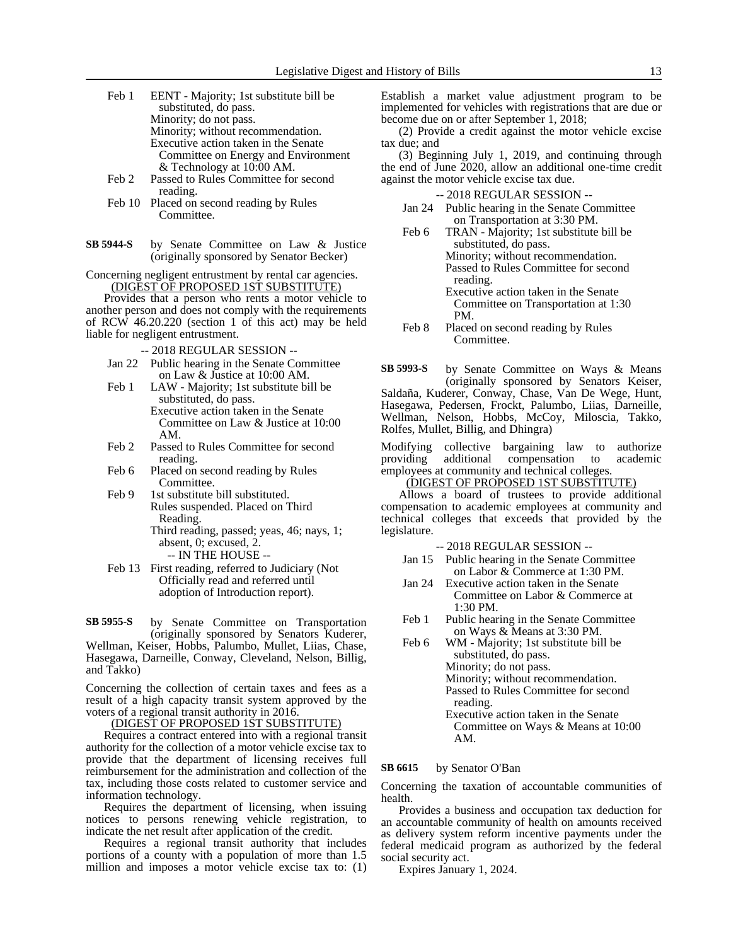- Feb 1 EENT Majority; 1st substitute bill be substituted, do pass. Minority; do not pass. Minority; without recommendation. Executive action taken in the Senate Committee on Energy and Environment & Technology at 10:00 AM.
- Feb 2 Passed to Rules Committee for second reading.
- Feb 10 Placed on second reading by Rules Committee.
- by Senate Committee on Law & Justice (originally sponsored by Senator Becker) **SB 5944-S**

Concerning negligent entrustment by rental car agencies. (DIGEST OF PROPOSED 1ST SUBSTITUTE)

Provides that a person who rents a motor vehicle to another person and does not comply with the requirements of RCW 46.20.220 (section 1 of this act) may be held liable for negligent entrustment.

- -- 2018 REGULAR SESSION --
- Jan 22 Public hearing in the Senate Committee on Law & Justice at 10:00 AM.
- Feb 1 LAW Majority; 1st substitute bill be substituted, do pass. Executive action taken in the Senate Committee on Law & Justice at 10:00 AM.
- Feb 2 Passed to Rules Committee for second reading.
- Feb 6 Placed on second reading by Rules Committee.
- Feb 9 1st substitute bill substituted. Rules suspended. Placed on Third Reading.
	- Third reading, passed; yeas, 46; nays, 1; absent, 0; excused, 2.
		- -- IN THE HOUSE --
- Feb 13 First reading, referred to Judiciary (Not Officially read and referred until adoption of Introduction report).

by Senate Committee on Transportation (originally sponsored by Senators Kuderer, Wellman, Keiser, Hobbs, Palumbo, Mullet, Liias, Chase, Hasegawa, Darneille, Conway, Cleveland, Nelson, Billig, and Takko) **SB 5955-S**

Concerning the collection of certain taxes and fees as a result of a high capacity transit system approved by the voters of a regional transit authority in 2016.

(DIGEST OF PROPOSED 1ST SUBSTITUTE)

Requires a contract entered into with a regional transit authority for the collection of a motor vehicle excise tax to provide that the department of licensing receives full reimbursement for the administration and collection of the tax, including those costs related to customer service and information technology.

Requires the department of licensing, when issuing notices to persons renewing vehicle registration, to indicate the net result after application of the credit.

Requires a regional transit authority that includes portions of a county with a population of more than 1.5 million and imposes a motor vehicle excise tax to: (1) Establish a market value adjustment program to be implemented for vehicles with registrations that are due or become due on or after September 1, 2018;

(2) Provide a credit against the motor vehicle excise tax due; and

(3) Beginning July 1, 2019, and continuing through the end of June 2020, allow an additional one-time credit against the motor vehicle excise tax due.

-- 2018 REGULAR SESSION --

- Jan 24 Public hearing in the Senate Committee on Transportation at 3:30 PM.
- Feb 6 TRAN Majority; 1st substitute bill be substituted, do pass. Minority; without recommendation. Passed to Rules Committee for second reading. Executive action taken in the Senate
	- Committee on Transportation at 1:30 PM.
- Feb 8 Placed on second reading by Rules Committee.

by Senate Committee on Ways & Means (originally sponsored by Senators Keiser, Saldaña, Kuderer, Conway, Chase, Van De Wege, Hunt, Hasegawa, Pedersen, Frockt, Palumbo, Liias, Darneille, Wellman, Nelson, Hobbs, McCoy, Miloscia, Takko, Rolfes, Mullet, Billig, and Dhingra) **SB 5993-S**

Modifying collective bargaining law to authorize providing additional compensation to academic employees at community and technical colleges.

(DIGEST OF PROPOSED 1ST SUBSTITUTE)

Allows a board of trustees to provide additional compensation to academic employees at community and technical colleges that exceeds that provided by the legislature.

-- 2018 REGULAR SESSION --

- Jan 15 Public hearing in the Senate Committee on Labor & Commerce at 1:30 PM.
- Jan 24 Executive action taken in the Senate Committee on Labor & Commerce at 1:30 PM.
- Feb 1 Public hearing in the Senate Committee on Ways & Means at 3:30 PM.
- Feb 6 WM Majority; 1st substitute bill be substituted, do pass. Minority; do not pass. Minority; without recommendation. Passed to Rules Committee for second

reading. Executive action taken in the Senate Committee on Ways & Means at 10:00 AM.

#### by Senator O'Ban **SB 6615**

Concerning the taxation of accountable communities of health.

Provides a business and occupation tax deduction for an accountable community of health on amounts received as delivery system reform incentive payments under the federal medicaid program as authorized by the federal social security act.

Expires January 1, 2024.